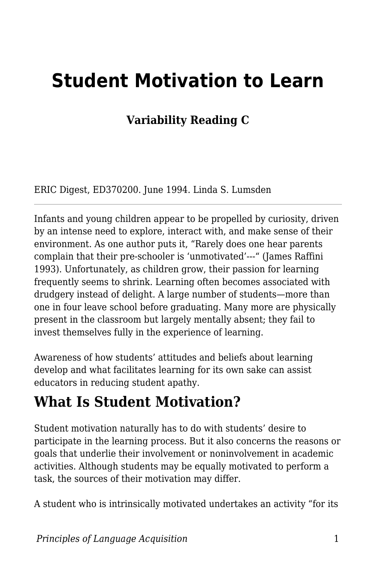# **Student Motivation to Learn**

#### **Variability Reading C**

ERIC Digest, ED370200. June 1994. Linda S. Lumsden

Infants and young children appear to be propelled by curiosity, driven by an intense need to explore, interact with, and make sense of their environment. As one author puts it, "Rarely does one hear parents complain that their pre-schooler is 'unmotivated'---" (James Raffini 1993). Unfortunately, as children grow, their passion for learning frequently seems to shrink. Learning often becomes associated with drudgery instead of delight. A large number of students—more than one in four leave school before graduating. Many more are physically present in the classroom but largely mentally absent; they fail to invest themselves fully in the experience of learning.

Awareness of how students' attitudes and beliefs about learning develop and what facilitates learning for its own sake can assist educators in reducing student apathy.

#### **What Is Student Motivation?**

Student motivation naturally has to do with students' desire to participate in the learning process. But it also concerns the reasons or goals that underlie their involvement or noninvolvement in academic activities. Although students may be equally motivated to perform a task, the sources of their motivation may differ.

A student who is intrinsically motivated undertakes an activity "for its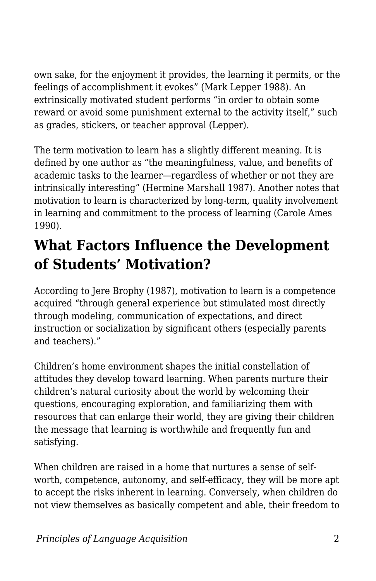own sake, for the enjoyment it provides, the learning it permits, or the feelings of accomplishment it evokes" (Mark Lepper 1988). An extrinsically motivated student performs "in order to obtain some reward or avoid some punishment external to the activity itself," such as grades, stickers, or teacher approval (Lepper).

The term motivation to learn has a slightly different meaning. It is defined by one author as "the meaningfulness, value, and benefits of academic tasks to the learner—regardless of whether or not they are intrinsically interesting" (Hermine Marshall 1987). Another notes that motivation to learn is characterized by long-term, quality involvement in learning and commitment to the process of learning (Carole Ames 1990).

### **What Factors Influence the Development of Students' Motivation?**

According to Jere Brophy (1987), motivation to learn is a competence acquired "through general experience but stimulated most directly through modeling, communication of expectations, and direct instruction or socialization by significant others (especially parents and teachers)."

Children's home environment shapes the initial constellation of attitudes they develop toward learning. When parents nurture their children's natural curiosity about the world by welcoming their questions, encouraging exploration, and familiarizing them with resources that can enlarge their world, they are giving their children the message that learning is worthwhile and frequently fun and satisfying.

When children are raised in a home that nurtures a sense of selfworth, competence, autonomy, and self-efficacy, they will be more apt to accept the risks inherent in learning. Conversely, when children do not view themselves as basically competent and able, their freedom to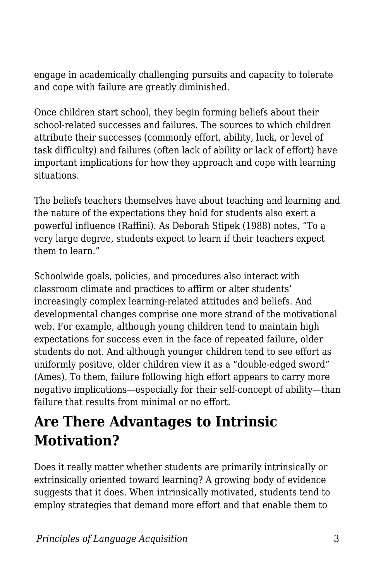engage in academically challenging pursuits and capacity to tolerate and cope with failure are greatly diminished.

Once children start school, they begin forming beliefs about their school-related successes and failures. The sources to which children attribute their successes (commonly effort, ability, luck, or level of task difficulty) and failures (often lack of ability or lack of effort) have important implications for how they approach and cope with learning situations.

The beliefs teachers themselves have about teaching and learning and the nature of the expectations they hold for students also exert a powerful influence (Raffini). As Deborah Stipek (1988) notes, "To a very large degree, students expect to learn if their teachers expect them to learn."

Schoolwide goals, policies, and procedures also interact with classroom climate and practices to affirm or alter students' increasingly complex learning-related attitudes and beliefs. And developmental changes comprise one more strand of the motivational web. For example, although young children tend to maintain high expectations for success even in the face of repeated failure, older students do not. And although younger children tend to see effort as uniformly positive, older children view it as a "double-edged sword" (Ames). To them, failure following high effort appears to carry more negative implications—especially for their self-concept of ability—than failure that results from minimal or no effort.

### **Are There Advantages to Intrinsic Motivation?**

Does it really matter whether students are primarily intrinsically or extrinsically oriented toward learning? A growing body of evidence suggests that it does. When intrinsically motivated, students tend to employ strategies that demand more effort and that enable them to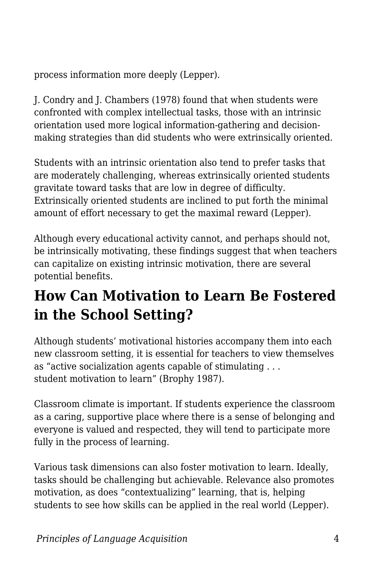process information more deeply (Lepper).

J. Condry and J. Chambers (1978) found that when students were confronted with complex intellectual tasks, those with an intrinsic orientation used more logical information-gathering and decisionmaking strategies than did students who were extrinsically oriented.

Students with an intrinsic orientation also tend to prefer tasks that are moderately challenging, whereas extrinsically oriented students gravitate toward tasks that are low in degree of difficulty. Extrinsically oriented students are inclined to put forth the minimal amount of effort necessary to get the maximal reward (Lepper).

Although every educational activity cannot, and perhaps should not, be intrinsically motivating, these findings suggest that when teachers can capitalize on existing intrinsic motivation, there are several potential benefits.

## **How Can Motivation to Learn Be Fostered in the School Setting?**

Although students' motivational histories accompany them into each new classroom setting, it is essential for teachers to view themselves as "active socialization agents capable of stimulating . . . student motivation to learn" (Brophy 1987).

Classroom climate is important. If students experience the classroom as a caring, supportive place where there is a sense of belonging and everyone is valued and respected, they will tend to participate more fully in the process of learning.

Various task dimensions can also foster motivation to learn. Ideally, tasks should be challenging but achievable. Relevance also promotes motivation, as does "contextualizing" learning, that is, helping students to see how skills can be applied in the real world (Lepper).

*Principles of Language Acquisition* 4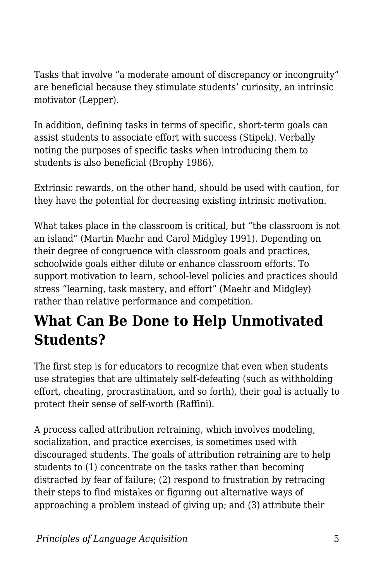Tasks that involve "a moderate amount of discrepancy or incongruity" are beneficial because they stimulate students' curiosity, an intrinsic motivator (Lepper).

In addition, defining tasks in terms of specific, short-term goals can assist students to associate effort with success (Stipek). Verbally noting the purposes of specific tasks when introducing them to students is also beneficial (Brophy 1986).

Extrinsic rewards, on the other hand, should be used with caution, for they have the potential for decreasing existing intrinsic motivation.

What takes place in the classroom is critical, but "the classroom is not an island" (Martin Maehr and Carol Midgley 1991). Depending on their degree of congruence with classroom goals and practices, schoolwide goals either dilute or enhance classroom efforts. To support motivation to learn, school-level policies and practices should stress "learning, task mastery, and effort" (Maehr and Midgley) rather than relative performance and competition.

#### **What Can Be Done to Help Unmotivated Students?**

The first step is for educators to recognize that even when students use strategies that are ultimately self-defeating (such as withholding effort, cheating, procrastination, and so forth), their goal is actually to protect their sense of self-worth (Raffini).

A process called attribution retraining, which involves modeling, socialization, and practice exercises, is sometimes used with discouraged students. The goals of attribution retraining are to help students to (1) concentrate on the tasks rather than becoming distracted by fear of failure; (2) respond to frustration by retracing their steps to find mistakes or figuring out alternative ways of approaching a problem instead of giving up; and (3) attribute their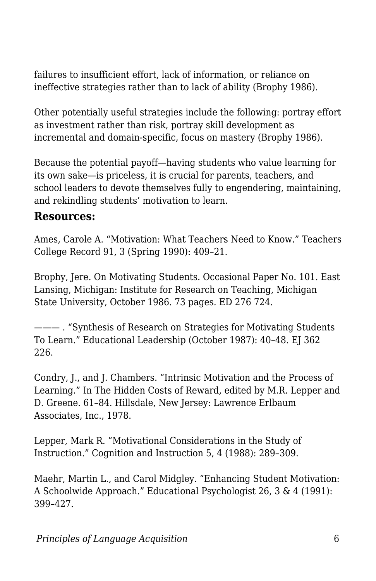failures to insufficient effort, lack of information, or reliance on ineffective strategies rather than to lack of ability (Brophy 1986).

Other potentially useful strategies include the following: portray effort as investment rather than risk, portray skill development as incremental and domain-specific, focus on mastery (Brophy 1986).

Because the potential payoff—having students who value learning for its own sake—is priceless, it is crucial for parents, teachers, and school leaders to devote themselves fully to engendering, maintaining, and rekindling students' motivation to learn.

#### **Resources:**

Ames, Carole A. "Motivation: What Teachers Need to Know." Teachers College Record 91, 3 (Spring 1990): 409–21.

Brophy, Jere. On Motivating Students. Occasional Paper No. 101. East Lansing, Michigan: Institute for Research on Teaching, Michigan State University, October 1986. 73 pages. ED 276 724.

——— . "Synthesis of Research on Strategies for Motivating Students To Learn." Educational Leadership (October 1987): 40–48. EJ 362 226.

Condry, J., and J. Chambers. "Intrinsic Motivation and the Process of Learning." In The Hidden Costs of Reward, edited by M.R. Lepper and D. Greene. 61–84. Hillsdale, New Jersey: Lawrence Erlbaum Associates, Inc., 1978.

Lepper, Mark R. "Motivational Considerations in the Study of Instruction." Cognition and Instruction 5, 4 (1988): 289–309.

Maehr, Martin L., and Carol Midgley. "Enhancing Student Motivation: A Schoolwide Approach." Educational Psychologist 26, 3 & 4 (1991): 399–427.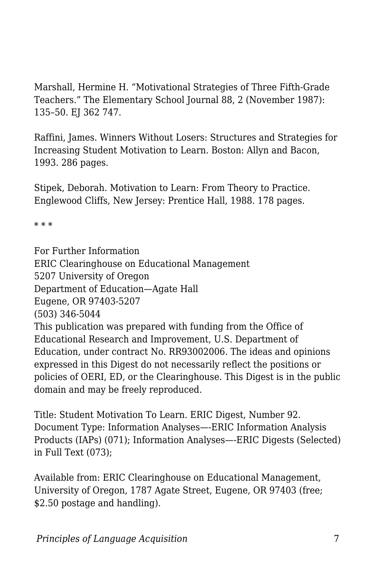Marshall, Hermine H. "Motivational Strategies of Three Fifth-Grade Teachers." The Elementary School Journal 88, 2 (November 1987): 135–50. EJ 362 747.

Raffini, James. Winners Without Losers: Structures and Strategies for Increasing Student Motivation to Learn. Boston: Allyn and Bacon, 1993. 286 pages.

Stipek, Deborah. Motivation to Learn: From Theory to Practice. Englewood Cliffs, New Jersey: Prentice Hall, 1988. 178 pages.

\* \* \*

For Further Information ERIC Clearinghouse on Educational Management 5207 University of Oregon Department of Education—Agate Hall Eugene, OR 97403-5207 (503) 346-5044 This publication was prepared with funding from the Office of Educational Research and Improvement, U.S. Department of Education, under contract No. RR93002006. The ideas and opinions expressed in this Digest do not necessarily reflect the positions or policies of OERI, ED, or the Clearinghouse. This Digest is in the public domain and may be freely reproduced.

Title: Student Motivation To Learn. ERIC Digest, Number 92. Document Type: Information Analyses—-ERIC Information Analysis Products (IAPs) (071); Information Analyses—-ERIC Digests (Selected) in Full Text (073);

Available from: ERIC Clearinghouse on Educational Management, University of Oregon, 1787 Agate Street, Eugene, OR 97403 (free; \$2.50 postage and handling).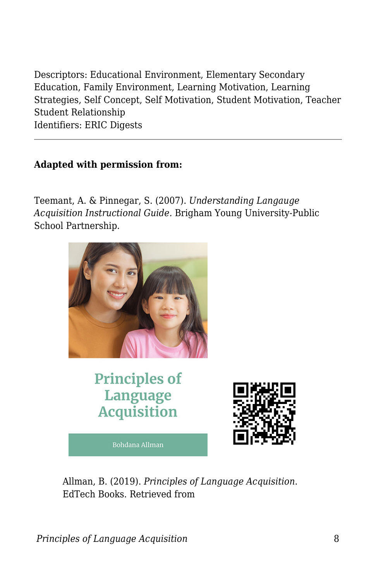Descriptors: Educational Environment, Elementary Secondary Education, Family Environment, Learning Motivation, Learning Strategies, Self Concept, Self Motivation, Student Motivation, Teacher Student Relationship Identifiers: ERIC Digests

#### **Adapted with permission from:**

Teemant, A. & Pinnegar, S. (2007). *Understanding Langauge Acquisition Instructional Guide.* Brigham Young University-Public School Partnership.



**Principles of** Language **Acquisition** 

Bohdana Allman



Allman, B. (2019). *Principles of Language Acquisition*. EdTech Books. Retrieved from